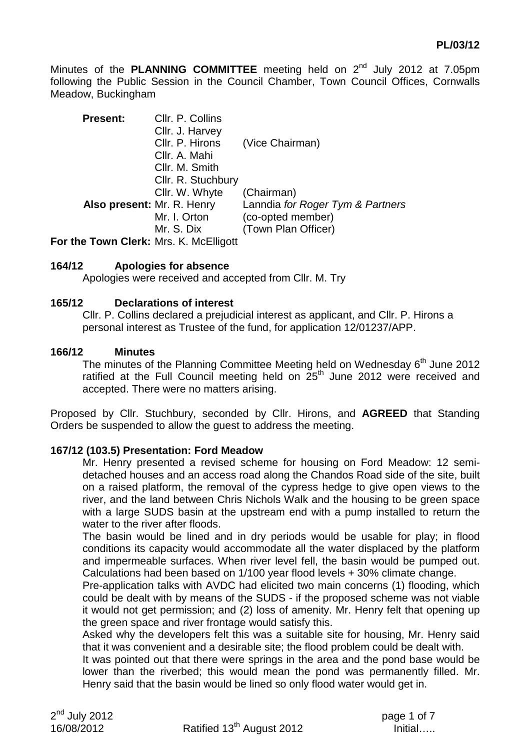Minutes of the **PLANNING COMMITTEE** meeting held on 2<sup>nd</sup> July 2012 at 7.05pm following the Public Session in the Council Chamber, Town Council Offices, Cornwalls Meadow, Buckingham

| <b>Present:</b>            | Cllr. P. Collins<br>Cllr. J. Harvey<br>Cllr. P. Hirons<br>Cllr. A. Mahi<br>Cllr. M. Smith<br>Cllr. R. Stuchbury | (Vice Chairman)                                                                            |
|----------------------------|-----------------------------------------------------------------------------------------------------------------|--------------------------------------------------------------------------------------------|
| Also present: Mr. R. Henry | Cllr. W. Whyte<br>Mr. I. Orton<br>Mr. S. Dix                                                                    | (Chairman)<br>Lanndia for Roger Tym & Partners<br>(co-opted member)<br>(Town Plan Officer) |

**For the Town Clerk:** Mrs. K. McElligott

### **164/12 Apologies for absence**

Apologies were received and accepted from Cllr. M. Try

#### **165/12 Declarations of interest**

Cllr. P. Collins declared a prejudicial interest as applicant, and Cllr. P. Hirons a personal interest as Trustee of the fund, for application 12/01237/APP.

#### **166/12 Minutes**

The minutes of the Planning Committee Meeting held on Wednesday  $6<sup>th</sup>$  June 2012 ratified at the Full Council meeting held on  $25<sup>th</sup>$  June 2012 were received and accepted. There were no matters arising.

Proposed by Cllr. Stuchbury, seconded by Cllr. Hirons, and **AGREED** that Standing Orders be suspended to allow the guest to address the meeting.

### **167/12 (103.5) Presentation: Ford Meadow**

Mr. Henry presented a revised scheme for housing on Ford Meadow: 12 semidetached houses and an access road along the Chandos Road side of the site, built on a raised platform, the removal of the cypress hedge to give open views to the river, and the land between Chris Nichols Walk and the housing to be green space with a large SUDS basin at the upstream end with a pump installed to return the water to the river after floods.

The basin would be lined and in dry periods would be usable for play; in flood conditions its capacity would accommodate all the water displaced by the platform and impermeable surfaces. When river level fell, the basin would be pumped out. Calculations had been based on 1/100 year flood levels + 30% climate change.

Pre-application talks with AVDC had elicited two main concerns (1) flooding, which could be dealt with by means of the SUDS - if the proposed scheme was not viable it would not get permission; and (2) loss of amenity. Mr. Henry felt that opening up the green space and river frontage would satisfy this.

Asked why the developers felt this was a suitable site for housing, Mr. Henry said that it was convenient and a desirable site; the flood problem could be dealt with.

It was pointed out that there were springs in the area and the pond base would be lower than the riverbed; this would mean the pond was permanently filled. Mr. Henry said that the basin would be lined so only flood water would get in.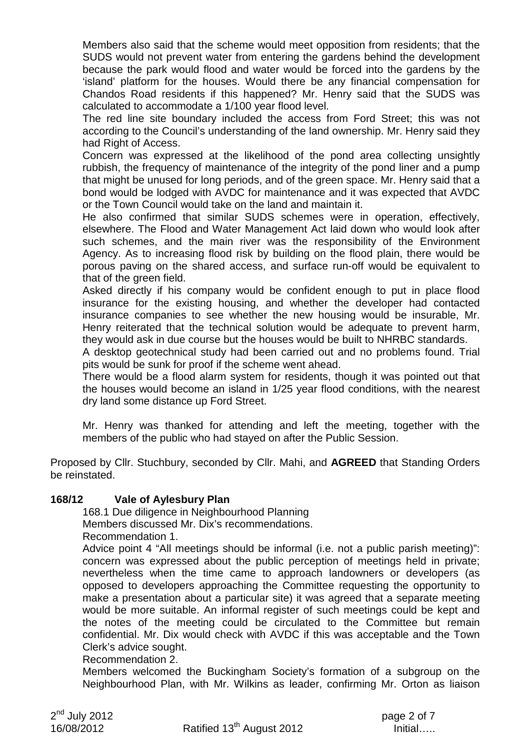Members also said that the scheme would meet opposition from residents; that the SUDS would not prevent water from entering the gardens behind the development because the park would flood and water would be forced into the gardens by the 'island' platform for the houses. Would there be any financial compensation for Chandos Road residents if this happened? Mr. Henry said that the SUDS was calculated to accommodate a 1/100 year flood level.

The red line site boundary included the access from Ford Street; this was not according to the Council's understanding of the land ownership. Mr. Henry said they had Right of Access.

Concern was expressed at the likelihood of the pond area collecting unsightly rubbish, the frequency of maintenance of the integrity of the pond liner and a pump that might be unused for long periods, and of the green space. Mr. Henry said that a bond would be lodged with AVDC for maintenance and it was expected that AVDC or the Town Council would take on the land and maintain it.

He also confirmed that similar SUDS schemes were in operation, effectively, elsewhere. The Flood and Water Management Act laid down who would look after such schemes, and the main river was the responsibility of the Environment Agency. As to increasing flood risk by building on the flood plain, there would be porous paving on the shared access, and surface run-off would be equivalent to that of the green field.

Asked directly if his company would be confident enough to put in place flood insurance for the existing housing, and whether the developer had contacted insurance companies to see whether the new housing would be insurable, Mr. Henry reiterated that the technical solution would be adequate to prevent harm, they would ask in due course but the houses would be built to NHRBC standards.

A desktop geotechnical study had been carried out and no problems found. Trial pits would be sunk for proof if the scheme went ahead.

There would be a flood alarm system for residents, though it was pointed out that the houses would become an island in 1/25 year flood conditions, with the nearest dry land some distance up Ford Street.

Mr. Henry was thanked for attending and left the meeting, together with the members of the public who had stayed on after the Public Session.

Proposed by Cllr. Stuchbury, seconded by Cllr. Mahi, and **AGREED** that Standing Orders be reinstated.

### **168/12 Vale of Aylesbury Plan**

168.1 Due diligence in Neighbourhood Planning

Members discussed Mr. Dix's recommendations. Recommendation 1.

Advice point 4 "All meetings should be informal (i.e. not a public parish meeting)": concern was expressed about the public perception of meetings held in private; nevertheless when the time came to approach landowners or developers (as opposed to developers approaching the Committee requesting the opportunity to make a presentation about a particular site) it was agreed that a separate meeting would be more suitable. An informal register of such meetings could be kept and the notes of the meeting could be circulated to the Committee but remain confidential. Mr. Dix would check with AVDC if this was acceptable and the Town Clerk's advice sought.

### Recommendation 2.

Members welcomed the Buckingham Society's formation of a subgroup on the Neighbourhood Plan, with Mr. Wilkins as leader, confirming Mr. Orton as liaison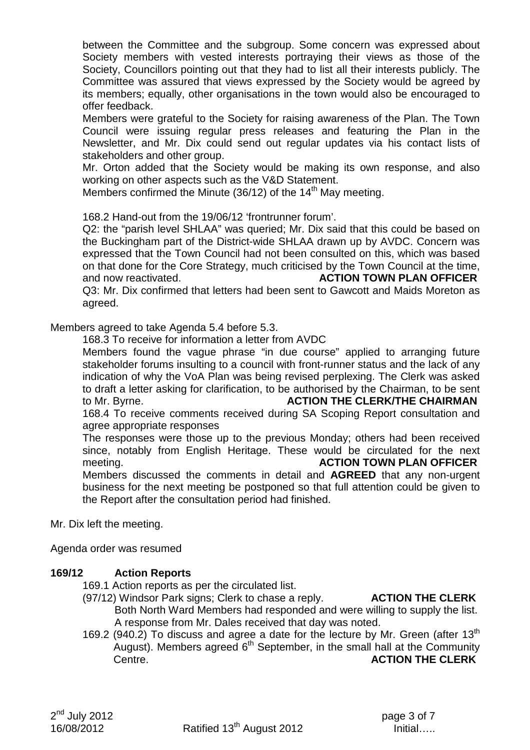between the Committee and the subgroup. Some concern was expressed about Society members with vested interests portraying their views as those of the Society, Councillors pointing out that they had to list all their interests publicly. The Committee was assured that views expressed by the Society would be agreed by its members; equally, other organisations in the town would also be encouraged to offer feedback.

Members were grateful to the Society for raising awareness of the Plan. The Town Council were issuing regular press releases and featuring the Plan in the Newsletter, and Mr. Dix could send out regular updates via his contact lists of stakeholders and other group.

Mr. Orton added that the Society would be making its own response, and also working on other aspects such as the V&D Statement.

Members confirmed the Minute  $(36/12)$  of the 14<sup>th</sup> May meeting.

168.2 Hand-out from the 19/06/12 'frontrunner forum'.

Q2: the "parish level SHLAA" was queried; Mr. Dix said that this could be based on the Buckingham part of the District-wide SHLAA drawn up by AVDC. Concern was expressed that the Town Council had not been consulted on this, which was based on that done for the Core Strategy, much criticised by the Town Council at the time, and now reactivated. **ACTION TOWN PLAN OFFICER**  Q3: Mr. Dix confirmed that letters had been sent to Gawcott and Maids Moreton as

agreed.

Members agreed to take Agenda 5.4 before 5.3.

168.3 To receive for information a letter from AVDC

Members found the vague phrase "in due course" applied to arranging future stakeholder forums insulting to a council with front-runner status and the lack of any indication of why the VoA Plan was being revised perplexing. The Clerk was asked to draft a letter asking for clarification, to be authorised by the Chairman, to be sent to Mr. Byrne. **ACTION THE CLERK/THE CHAIRMAN**  168.4 To receive comments received during SA Scoping Report consultation and

agree appropriate responses

The responses were those up to the previous Monday; others had been received since, notably from English Heritage. These would be circulated for the next meeting. **ACTION TOWN PLAN OFFICER** 

Members discussed the comments in detail and **AGREED** that any non-urgent business for the next meeting be postponed so that full attention could be given to the Report after the consultation period had finished.

Mr. Dix left the meeting.

Agenda order was resumed

## **169/12 Action Reports**

169.1 Action reports as per the circulated list.

- (97/12) Windsor Park signs; Clerk to chase a reply. **ACTION THE CLERK**
	- Both North Ward Members had responded and were willing to supply the list. A response from Mr. Dales received that day was noted.
- 169.2 (940.2) To discuss and agree a date for the lecture by Mr. Green (after  $13<sup>th</sup>$ August). Members agreed  $6<sup>th</sup>$  September, in the small hall at the Community Centre. **ACTION THE CLERK**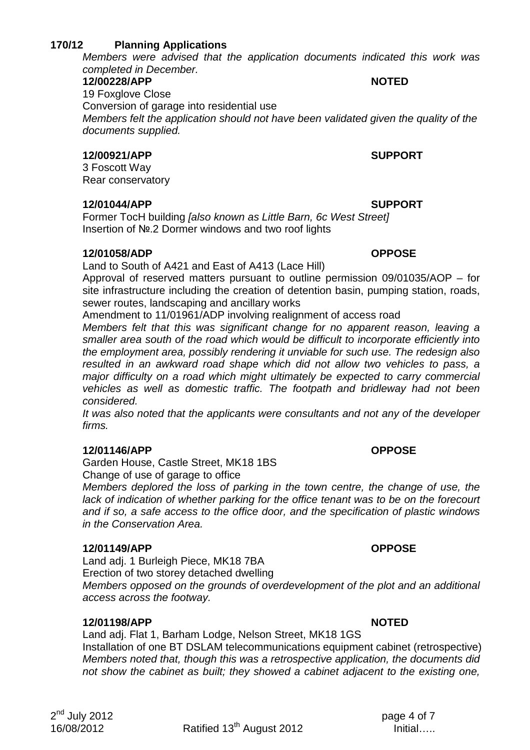# **170/12 Planning Applications**

Members were advised that the application documents indicated this work was completed in December.

#### **12/00228/APP NOTED**

19 Foxglove Close Conversion of garage into residential use Members felt the application should not have been validated given the quality of the documents supplied.

### **12/00921/APP SUPPORT**

3 Foscott Way Rear conservatory

### **12/01044/APP SUPPORT**

Former TocH building *[also known as Little Barn, 6c West Street]* Insertion of №.2 Dormer windows and two roof lights

## **12/01058/ADP OPPOSE**

Land to South of A421 and East of A413 (Lace Hill)

Approval of reserved matters pursuant to outline permission 09/01035/AOP – for site infrastructure including the creation of detention basin, pumping station, roads, sewer routes, landscaping and ancillary works

Amendment to 11/01961/ADP involving realignment of access road

Members felt that this was significant change for no apparent reason, leaving a smaller area south of the road which would be difficult to incorporate efficiently into the employment area, possibly rendering it unviable for such use. The redesign also resulted in an awkward road shape which did not allow two vehicles to pass, a major difficulty on a road which might ultimately be expected to carry commercial vehicles as well as domestic traffic. The footpath and bridleway had not been considered.

It was also noted that the applicants were consultants and not any of the developer firms.

## **12/01146/APP OPPOSE**

Garden House, Castle Street, MK18 1BS Change of use of garage to office

Members deplored the loss of parking in the town centre, the change of use, the lack of indication of whether parking for the office tenant was to be on the forecourt and if so, a safe access to the office door, and the specification of plastic windows in the Conservation Area.

## **12/01149/APP OPPOSE**

Land adj. 1 Burleigh Piece, MK18 7BA Erection of two storey detached dwelling

Members opposed on the grounds of overdevelopment of the plot and an additional access across the footway.

## **12/01198/APP NOTED**

Land adj. Flat 1, Barham Lodge, Nelson Street, MK18 1GS Installation of one BT DSLAM telecommunications equipment cabinet (retrospective) Members noted that, though this was a retrospective application, the documents did not show the cabinet as built; they showed a cabinet adjacent to the existing one,

 $16/08/2012$  Ratified 13<sup>th</sup> August 2012 **Initial**…..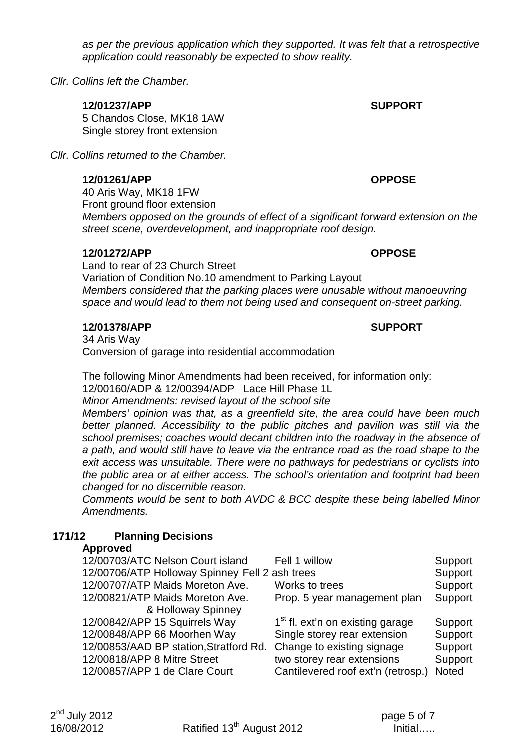as per the previous application which they supported. It was felt that a retrospective application could reasonably be expected to show reality.

Cllr. Collins left the Chamber.

### **12/01237/APP SUPPORT**

5 Chandos Close, MK18 1AW Single storey front extension

Cllr. Collins returned to the Chamber.

#### **12/01261/APP OPPOSE**

40 Aris Way, MK18 1FW Front ground floor extension Members opposed on the grounds of effect of a significant forward extension on the street scene, overdevelopment, and inappropriate roof design.

### **12/01272/APP OPPOSE**

Land to rear of 23 Church Street Variation of Condition No.10 amendment to Parking Layout Members considered that the parking places were unusable without manoeuvring space and would lead to them not being used and consequent on-street parking.

#### **12/01378/APP SUPPORT**

34 Aris Way Conversion of garage into residential accommodation

The following Minor Amendments had been received, for information only:

12/00160/ADP & 12/00394/ADP Lace Hill Phase 1L

Minor Amendments: revised layout of the school site

Members' opinion was that, as a greenfield site, the area could have been much better planned. Accessibility to the public pitches and pavilion was still via the school premises; coaches would decant children into the roadway in the absence of a path, and would still have to leave via the entrance road as the road shape to the exit access was unsuitable. There were no pathways for pedestrians or cyclists into the public area or at either access. The school's orientation and footprint had been changed for no discernible reason.

Comments would be sent to both AVDC & BCC despite these being labelled Minor Amendments.

# **171/12 Planning Decisions**

### **Approved**

| 12/00703/ATC Nelson Court island               | Fell 1 willow                                | Support |
|------------------------------------------------|----------------------------------------------|---------|
| 12/00706/ATP Holloway Spinney Fell 2 ash trees |                                              | Support |
| 12/00707/ATP Maids Moreton Ave.                | Works to trees                               | Support |
| 12/00821/ATP Maids Moreton Ave.                | Prop. 5 year management plan                 | Support |
| & Holloway Spinney                             |                                              |         |
| 12/00842/APP 15 Squirrels Way                  | 1 <sup>st</sup> fl. ext'n on existing garage | Support |
| 12/00848/APP 66 Moorhen Way                    | Single storey rear extension                 | Support |
| 12/00853/AAD BP station, Stratford Rd.         | Change to existing signage                   | Support |
| 12/00818/APP 8 Mitre Street                    | two storey rear extensions                   | Support |
| 12/00857/APP 1 de Clare Court                  | Cantilevered roof ext'n (retrosp.)           | Noted   |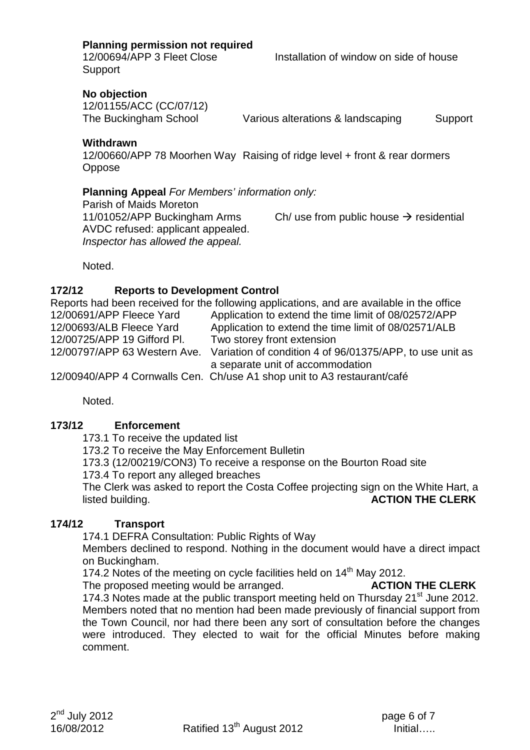**Planning permission not required** 

12/00694/APP 3 Fleet Close Installation of window on side of house **Support** 

**No objection** 

12/01155/ACC (CC/07/12)

The Buckingham School Various alterations & landscaping Support

**Withdrawn** 

12/00660/APP 78 Moorhen Way Raising of ridge level + front & rear dormers **Oppose** 

### **Planning Appeal For Members' information only:**

Parish of Maids Moreton AVDC refused: applicant appealed. Inspector has allowed the appeal.

11/01052/APP Buckingham Arms Ch/ use from public house  $\rightarrow$  residential

Noted.

## **172/12 Reports to Development Control**

Reports had been received for the following applications, and are available in the office 12/00691/APP Fleece Yard Application to extend the time limit of 08/02572/APP 12/00693/ALB Fleece Yard Application to extend the time limit of 08/02571/ALB 12/00725/APP 19 Gifford Pl. Two storey front extension 12/00797/APP 63 Western Ave. Variation of condition 4 of 96/01375/APP, to use unit as a separate unit of accommodation

12/00940/APP 4 Cornwalls Cen. Ch/use A1 shop unit to A3 restaurant/café

Noted.

## **173/12 Enforcement**

173.1 To receive the updated list

173.2 To receive the May Enforcement Bulletin

173.3 (12/00219/CON3) To receive a response on the Bourton Road site

173.4 To report any alleged breaches

The Clerk was asked to report the Costa Coffee projecting sign on the White Hart, a listed building. **ACTION THE CLERK**

## **174/12 Transport**

174.1 DEFRA Consultation: Public Rights of Way

Members declined to respond. Nothing in the document would have a direct impact on Buckingham.

174.2 Notes of the meeting on cycle facilities held on  $14<sup>th</sup>$  May 2012.<br>The proposed meeting would be arranged. **ACTION THE CLERK** 

The proposed meeting would be arranged.

174.3 Notes made at the public transport meeting held on Thursday 21<sup>st</sup> June 2012. Members noted that no mention had been made previously of financial support from the Town Council, nor had there been any sort of consultation before the changes were introduced. They elected to wait for the official Minutes before making comment.